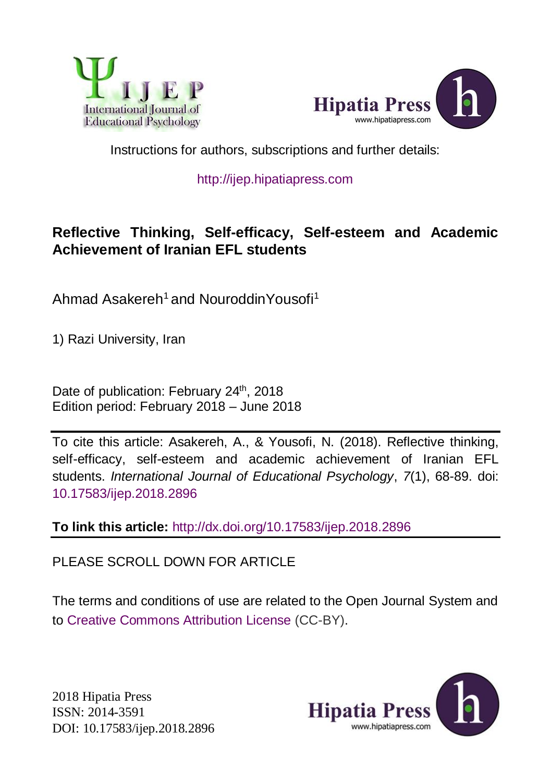



Instructions for authors, subscriptions and further details:

## [http://ijep.hipatiapress.com](http://ijep.hipatiapress.com/)

# **Reflective Thinking, Self-efficacy, Self-esteem and Academic Achievement of Iranian EFL students**

Ahmad Asakereh<sup>1</sup> and NouroddinYousofi<sup>1</sup>

1) Razi University, Iran

Date of publication: February 24<sup>th</sup>, 2018 Edition period: February 2018 – June 2018

To cite this article: Asakereh, A., & Yousofi, N. (2018). Reflective thinking, self-efficacy, self-esteem and academic achievement of Iranian EFL students. *International Journal of Educational Psychology*, *7*(1), 68-89. doi: 10.17583/ijep.2018.2896

**To link this article:** http://dx.doi.org/10.17583/ijep.2018.2896

PLEASE SCROLL DOWN FOR ARTICLE

The terms and conditions of use are related to the Open Journal System and to [Creative Commons Attribution License](http://creativecommons.org/licenses/by/2.5/) (CC-BY).

2018 Hipatia Press ISSN: 2014-3591 DOI: 10.17583/ijep.2018.2896

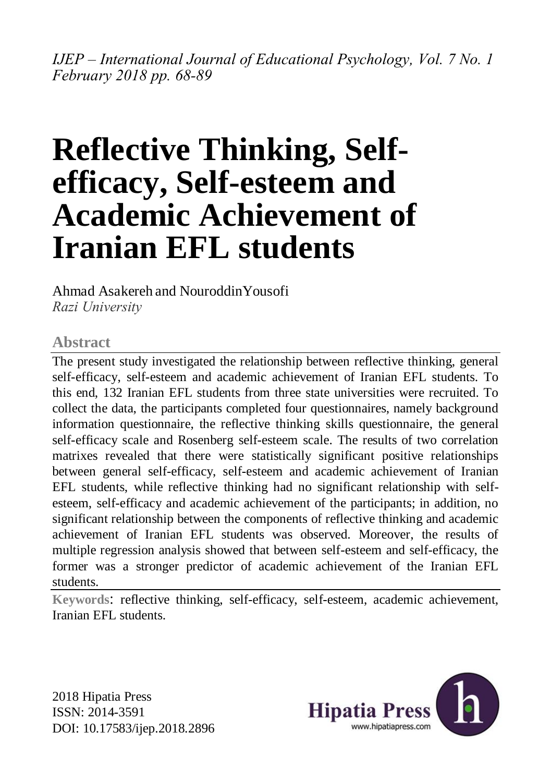*IJEP – International Journal of Educational Psychology, Vol. 7 No. 1 February 2018 pp. 68-89*

# **Reflective Thinking, Selfefficacy, Self-esteem and Academic Achievement of Iranian EFL students**

Ahmad Asakereh and NouroddinYousofi *Razi University*

### **Abstract**

The present study investigated the relationship between reflective thinking, general self-efficacy, self-esteem and academic achievement of Iranian EFL students. To this end, 132 Iranian EFL students from three state universities were recruited. To collect the data, the participants completed four questionnaires, namely background information questionnaire, the reflective thinking skills questionnaire, the general self-efficacy scale and Rosenberg self-esteem scale. The results of two correlation matrixes revealed that there were statistically significant positive relationships between general self-efficacy, self-esteem and academic achievement of Iranian EFL students, while reflective thinking had no significant relationship with selfesteem, self-efficacy and academic achievement of the participants; in addition, no significant relationship between the components of reflective thinking and academic achievement of Iranian EFL students was observed. Moreover, the results of multiple regression analysis showed that between self-esteem and self-efficacy, the former was a stronger predictor of academic achievement of the Iranian EFL students.

**Keywords**: reflective thinking, self-efficacy, self-esteem, academic achievement, Iranian EFL students.

2018 Hipatia Press ISSN: 2014-3591 DOI: 10.17583/ijep.2018.2896

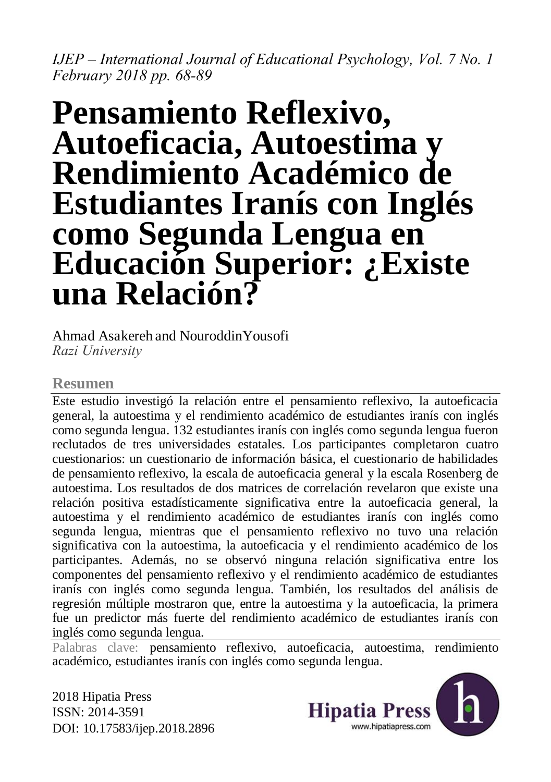*IJEP – International Journal of Educational Psychology, Vol. 7 No. 1 February 2018 pp. 68-89*

# **Pensamiento Reflexivo, Autoeficacia, Autoestima y Rendimiento Académico de Estudiantes Iranís con Inglés como Segunda Lengua en Educación Superior: ¿Existe una Relación?**

#### Ahmad Asakereh and NouroddinYousofi *Razi University*

## **Resumen**

Este estudio investigó la relación entre el pensamiento reflexivo, la autoeficacia general, la autoestima y el rendimiento académico de estudiantes iranís con inglés como segunda lengua. 132 estudiantes iranís con inglés como segunda lengua fueron reclutados de tres universidades estatales. Los participantes completaron cuatro cuestionarios: un cuestionario de información básica, el cuestionario de habilidades de pensamiento reflexivo, la escala de autoeficacia general y la escala Rosenberg de autoestima. Los resultados de dos matrices de correlación revelaron que existe una relación positiva estadísticamente significativa entre la autoeficacia general, la autoestima y el rendimiento académico de estudiantes iranís con inglés como segunda lengua, mientras que el pensamiento reflexivo no tuvo una relación significativa con la autoestima, la autoeficacia y el rendimiento académico de los participantes. Además, no se observó ninguna relación significativa entre los componentes del pensamiento reflexivo y el rendimiento académico de estudiantes iranís con inglés como segunda lengua. También, los resultados del análisis de regresión múltiple mostraron que, entre la autoestima y la autoeficacia, la primera fue un predictor más fuerte del rendimiento académico de estudiantes iranís con inglés como segunda lengua.

Palabras clave: pensamiento reflexivo, autoeficacia, autoestima, rendimiento académico, estudiantes iranís con inglés como segunda lengua.

2018 Hipatia Press ISSN: 2014-3591 DOI: 10.17583/ijep.2018.2896

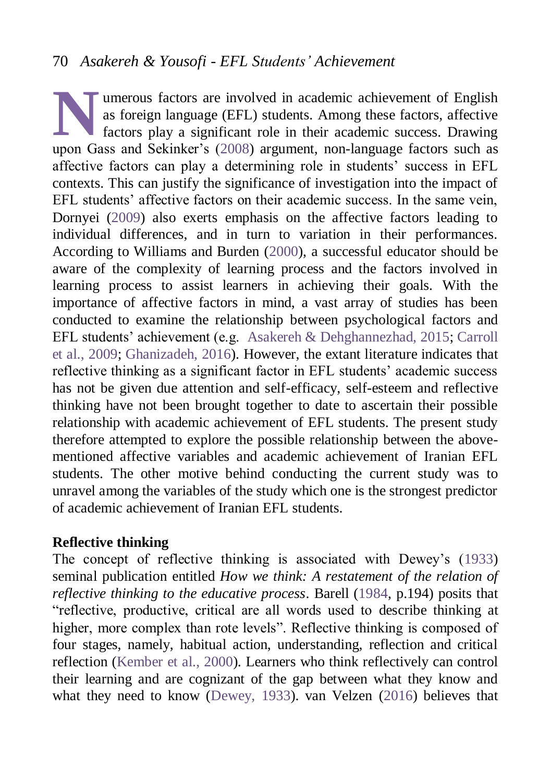## 70 *Asakereh & Yousofi - EFL Students' Achievement*

umerous factors are involved in academic achievement of English as foreign language (EFL) students. Among these factors, affective factors play a significant role in their academic success. Drawing umerous factors are involved in academic achievement of English as foreign language (EFL) students. Among these factors, affective factors play a significant role in their academic success. Drawing upon Gass and Sekinker's affective factors can play a determining role in students' success in EFL contexts. This can justify the significance of investigation into the impact of EFL students' affective factors on their academic success. In the same vein, Dornyei [\(2009\)](#page-19-1) also exerts emphasis on the affective factors leading to individual differences, and in turn to variation in their performances. According to Williams and Burden [\(2000\)](#page-22-0), a successful educator should be aware of the complexity of learning process and the factors involved in learning process to assist learners in achieving their goals. With the importance of affective factors in mind, a vast array of studies has been conducted to examine the relationship between psychological factors and EFL students' achievement (e.g. [Asakereh & Dehghannezhad, 2015;](#page-17-0) [Carroll](#page-18-0)  [et al., 2009;](#page-18-0) [Ghanizadeh, 2016\)](#page-19-2). However, the extant literature indicates that reflective thinking as a significant factor in EFL students' academic success has not be given due attention and self-efficacy, self-esteem and reflective thinking have not been brought together to date to ascertain their possible relationship with academic achievement of EFL students. The present study therefore attempted to explore the possible relationship between the abovementioned affective variables and academic achievement of Iranian EFL students. The other motive behind conducting the current study was to unravel among the variables of the study which one is the strongest predictor of academic achievement of Iranian EFL students.

#### **Reflective thinking**

The concept of reflective thinking is associated with Dewey's [\(1933\)](#page-19-3) seminal publication entitled *How we think: A restatement of the relation of reflective thinking to the educative process*. Barell [\(1984,](#page-18-1) p.194) posits that "reflective, productive, critical are all words used to describe thinking at higher, more complex than rote levels". Reflective thinking is composed of four stages, namely, habitual action, understanding, reflection and critical reflection [\(Kember et al., 2000\)](#page-20-0). Learners who think reflectively can control their learning and are cognizant of the gap between what they know and what they need to know [\(Dewey, 1933\)](#page-19-3). van Velzen [\(2016\)](#page-21-0) believes that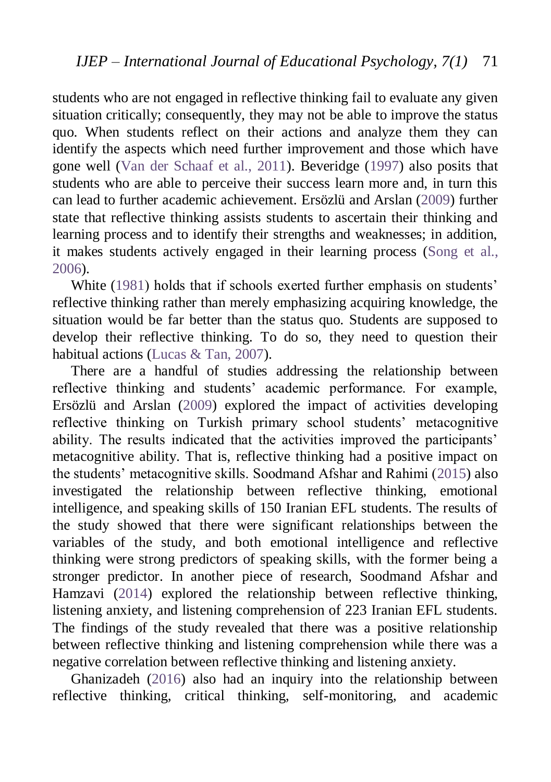students who are not engaged in reflective thinking fail to evaluate any given situation critically; consequently, they may not be able to improve the status quo. When students reflect on their actions and analyze them they can identify the aspects which need further improvement and those which have gone well [\(Van der Schaaf et al., 2011\)](#page-21-1). Beveridge [\(1997\)](#page-18-2) also posits that students who are able to perceive their success learn more and, in turn this can lead to further academic achievement. Ersözlü and Arslan [\(2009\)](#page-19-4) further state that reflective thinking assists students to ascertain their thinking and learning process and to identify their strengths and weaknesses; in addition, it makes students actively engaged in their learning process [\(Song et al.,](#page-21-2)  [2006\)](#page-21-2).

White [\(1981\)](#page-22-1) holds that if schools exerted further emphasis on students' reflective thinking rather than merely emphasizing acquiring knowledge, the situation would be far better than the status quo. Students are supposed to develop their reflective thinking. To do so, they need to question their habitual actions [\(Lucas & Tan, 2007\)](#page-20-1).

There are a handful of studies addressing the relationship between reflective thinking and students' academic performance. For example, Ersözlü and Arslan [\(2009\)](#page-19-4) explored the impact of activities developing reflective thinking on Turkish primary school students' metacognitive ability. The results indicated that the activities improved the participants' metacognitive ability. That is, reflective thinking had a positive impact on the students' metacognitive skills. Soodmand Afshar and Rahimi [\(2015\)](#page-21-3) also investigated the relationship between reflective thinking, emotional intelligence, and speaking skills of 150 Iranian EFL students. The results of the study showed that there were significant relationships between the variables of the study, and both emotional intelligence and reflective thinking were strong predictors of speaking skills, with the former being a stronger predictor. In another piece of research, Soodmand Afshar and Hamzavi [\(2014\)](#page-21-3) explored the relationship between reflective thinking, listening anxiety, and listening comprehension of 223 Iranian EFL students. The findings of the study revealed that there was a positive relationship between reflective thinking and listening comprehension while there was a negative correlation between reflective thinking and listening anxiety.

Ghanizadeh [\(2016\)](#page-19-2) also had an inquiry into the relationship between reflective thinking, critical thinking, self-monitoring, and academic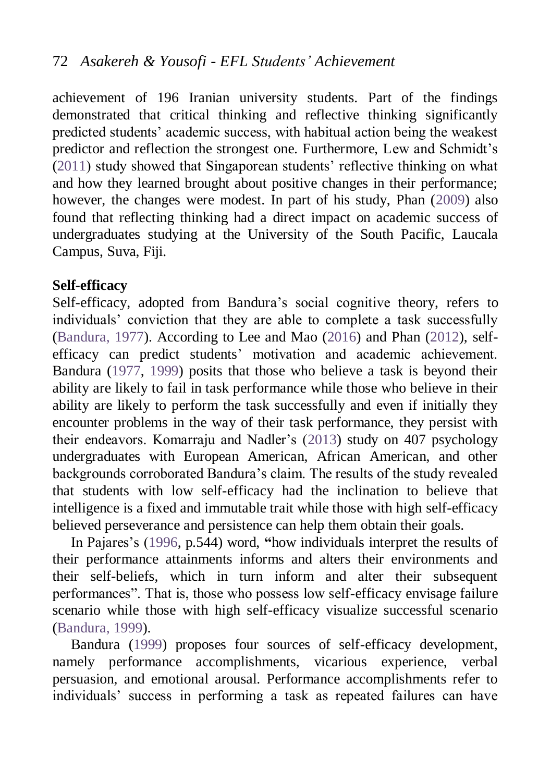# 72 *Asakereh & Yousofi - EFL Students' Achievement*

achievement of 196 Iranian university students. Part of the findings demonstrated that critical thinking and reflective thinking significantly predicted students' academic success, with habitual action being the weakest predictor and reflection the strongest one. Furthermore, Lew and Schmidt's [\(2011\)](#page-20-2) study showed that Singaporean students' reflective thinking on what and how they learned brought about positive changes in their performance; however, the changes were modest. In part of his study, Phan [\(2009\)](#page-20-3) also found that reflecting thinking had a direct impact on academic success of undergraduates studying at the University of the South Pacific, Laucala Campus, Suva, Fiji.

#### **Self-efficacy**

Self-efficacy, adopted from Bandura's social cognitive theory, refers to individuals' conviction that they are able to complete a task successfully [\(Bandura, 1977\)](#page-18-3). According to Lee and Mao [\(2016\)](#page-20-2) and Phan [\(2012\)](#page-20-4), selfefficacy can predict students' motivation and academic achievement. Bandura [\(1977,](#page-18-3) [1999\)](#page-18-4) posits that those who believe a task is beyond their ability are likely to fail in task performance while those who believe in their ability are likely to perform the task successfully and even if initially they encounter problems in the way of their task performance, they persist with their endeavors. Komarraju and Nadler's [\(2013\)](#page-20-5) study on 407 psychology undergraduates with European American, African American, and other backgrounds corroborated Bandura's claim. The results of the study revealed that students with low self-efficacy had the inclination to believe that intelligence is a fixed and immutable trait while those with high self-efficacy believed perseverance and persistence can help them obtain their goals.

In Pajares's [\(1996,](#page-20-6) p.544) word, **"**how individuals interpret the results of their performance attainments informs and alters their environments and their self-beliefs, which in turn inform and alter their subsequent performances". That is, those who possess low self-efficacy envisage failure scenario while those with high self-efficacy visualize successful scenario [\(Bandura, 1999\)](#page-18-4).

Bandura [\(1999\)](#page-18-4) proposes four sources of self-efficacy development, namely performance accomplishments, vicarious experience, verbal persuasion, and emotional arousal. Performance accomplishments refer to individuals' success in performing a task as repeated failures can have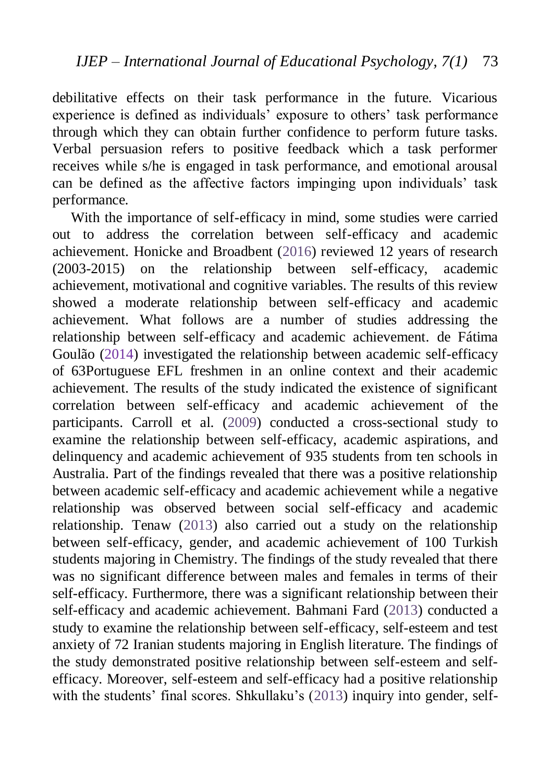debilitative effects on their task performance in the future. Vicarious experience is defined as individuals' exposure to others' task performance through which they can obtain further confidence to perform future tasks. Verbal persuasion refers to positive feedback which a task performer receives while s/he is engaged in task performance, and emotional arousal can be defined as the affective factors impinging upon individuals' task performance.

With the importance of self-efficacy in mind, some studies were carried out to address the correlation between self-efficacy and academic achievement. Honicke and Broadbent [\(2016\)](#page-19-5) reviewed 12 years of research (2003-2015) on the relationship between self-efficacy, academic achievement, motivational and cognitive variables. The results of this review showed a moderate relationship between self-efficacy and academic achievement. What follows are a number of studies addressing the relationship between self-efficacy and academic achievement. de Fátima Goulão (2014) investigated the relationship between academic self-efficacy of 63Portuguese EFL freshmen in an online context and their academic achievement. The results of the study indicated the existence of significant correlation between self-efficacy and academic achievement of the participants. Carroll et al. [\(2009\)](#page-18-0) conducted a cross-sectional study to examine the relationship between self-efficacy, academic aspirations, and delinquency and academic achievement of 935 students from ten schools in Australia. Part of the findings revealed that there was a positive relationship between academic self-efficacy and academic achievement while a negative relationship was observed between social self-efficacy and academic relationship. Tenaw [\(2013\)](#page-21-4) also carried out a study on the relationship between self-efficacy, gender, and academic achievement of 100 Turkish students majoring in Chemistry. The findings of the study revealed that there was no significant difference between males and females in terms of their self-efficacy. Furthermore, there was a significant relationship between their self-efficacy and academic achievement. Bahmani Fard [\(2013\)](#page-18-5) conducted a study to examine the relationship between self-efficacy, self-esteem and test anxiety of 72 Iranian students majoring in English literature. The findings of the study demonstrated positive relationship between self-esteem and selfefficacy. Moreover, self-esteem and self-efficacy had a positive relationship with the students' final scores. Shkullaku's [\(2013\)](#page-21-5) inquiry into gender, self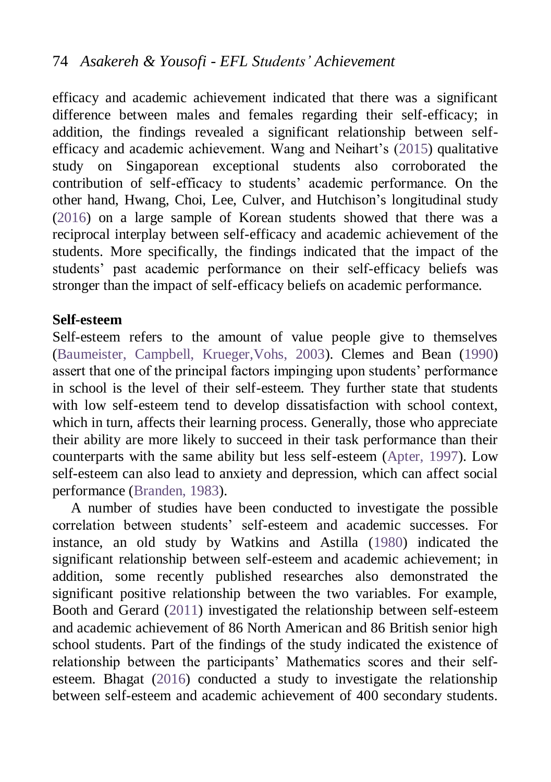efficacy and academic achievement indicated that there was a significant difference between males and females regarding their self-efficacy; in addition, the findings revealed a significant relationship between selfefficacy and academic achievement. Wang and Neihart's [\(2015\)](#page-21-6) qualitative study on Singaporean exceptional students also corroborated the contribution of self-efficacy to students' academic performance. On the other hand, Hwang, Choi, Lee, Culver, and Hutchison's longitudinal study [\(2016\)](#page-19-6) on a large sample of Korean students showed that there was a reciprocal interplay between self-efficacy and academic achievement of the students. More specifically, the findings indicated that the impact of the students' past academic performance on their self-efficacy beliefs was stronger than the impact of self-efficacy beliefs on academic performance.

#### **Self-esteem**

Self-esteem refers to the amount of value people give to themselves [\(Baumeister, Campbell, Krueger,Vohs, 2003\)](#page-18-6). Clemes and Bean [\(1990\)](#page-19-7) assert that one of the principal factors impinging upon students' performance in school is the level of their self-esteem. They further state that students with low self-esteem tend to develop dissatisfaction with school context, which in turn, affects their learning process. Generally, those who appreciate their ability are more likely to succeed in their task performance than their counterparts with the same ability but less self-esteem [\(Apter, 1997\)](#page-17-1). Low self-esteem can also lead to anxiety and depression, which can affect social performance [\(Branden, 1983\)](#page-18-7).

A number of studies have been conducted to investigate the possible correlation between students' self-esteem and academic successes. For instance, an old study by Watkins and Astilla [\(1980\)](#page-22-2) indicated the significant relationship between self-esteem and academic achievement; in addition, some recently published researches also demonstrated the significant positive relationship between the two variables. For example, Booth and Gerard [\(2011\)](#page-18-8) investigated the relationship between self-esteem and academic achievement of 86 North American and 86 British senior high school students. Part of the findings of the study indicated the existence of relationship between the participants' Mathematics scores and their selfesteem. Bhagat [\(2016\)](#page-17-2) conducted a study to investigate the relationship between self-esteem and academic achievement of 400 secondary students.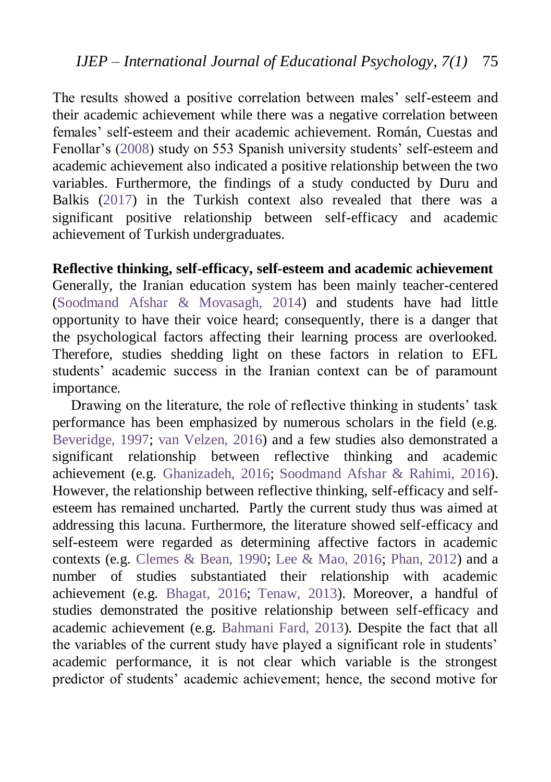The results showed a positive correlation between males' self-esteem and their academic achievement while there was a negative correlation between females' self-esteem and their academic achievement. Román, Cuestas and Fenollar's [\(2008\)](#page-20-7) study on 553 Spanish university students' self-esteem and academic achievement also indicated a positive relationship between the two variables. Furthermore, the findings of a study conducted by Duru and Balkis [\(2017\)](#page-19-8) in the Turkish context also revealed that there was a significant positive relationship between self-efficacy and academic achievement of Turkish undergraduates.

## **Reflective thinking, self-efficacy, self-esteem and academic achievement**

Generally, the Iranian education system has been mainly teacher-centered [\(Soodmand Afshar & Movasagh, 2014\)](#page-21-3) and students have had little opportunity to have their voice heard; consequently, there is a danger that the psychological factors affecting their learning process are overlooked. Therefore, studies shedding light on these factors in relation to EFL students' academic success in the Iranian context can be of paramount importance.

Drawing on the literature, the role of reflective thinking in students' task performance has been emphasized by numerous scholars in the field (e.g. [Beveridge, 1997;](#page-18-2) [van Velzen, 2016\)](#page-21-0) and a few studies also demonstrated a significant relationship between reflective thinking and academic achievement (e.g. [Ghanizadeh, 2016;](#page-19-2) [Soodmand Afshar & Rahimi, 2016\)](#page-21-7). However, the relationship between reflective thinking, self-efficacy and selfesteem has remained uncharted. Partly the current study thus was aimed at addressing this lacuna. Furthermore, the literature showed self-efficacy and self-esteem were regarded as determining affective factors in academic contexts (e.g. [Clemes & Bean, 1990;](#page-19-7) [Lee & Mao, 2016;](#page-20-2) [Phan, 2012\)](#page-20-4) and a number of studies substantiated their relationship with academic achievement (e.g. [Bhagat, 2016;](#page-17-2) [Tenaw, 2013\)](#page-21-4). Moreover, a handful of studies demonstrated the positive relationship between self-efficacy and academic achievement (e.g. [Bahmani Fard, 2013\)](#page-18-5). Despite the fact that all the variables of the current study have played a significant role in students' academic performance, it is not clear which variable is the strongest predictor of students' academic achievement; hence, the second motive for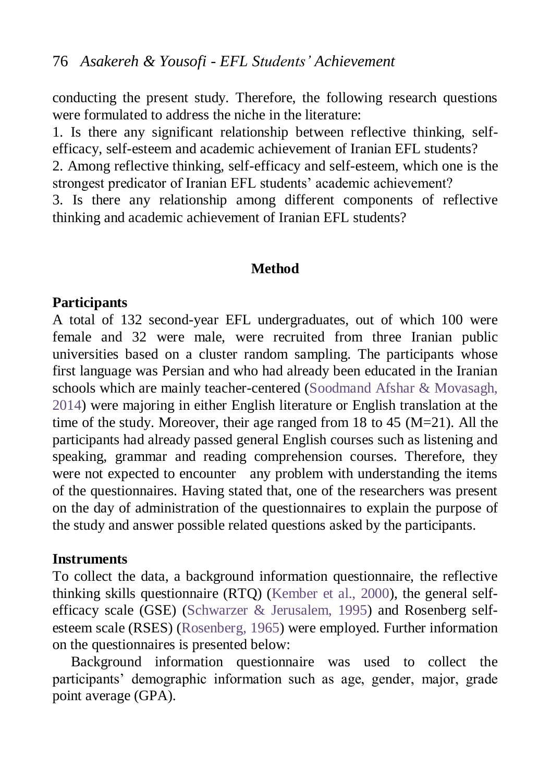conducting the present study. Therefore, the following research questions were formulated to address the niche in the literature:

1. Is there any significant relationship between reflective thinking, selfefficacy, self-esteem and academic achievement of Iranian EFL students? 2. Among reflective thinking, self-efficacy and self-esteem, which one is the strongest predicator of Iranian EFL students' academic achievement? 3. Is there any relationship among different components of reflective

thinking and academic achievement of Iranian EFL students?

### **Method**

#### **Participants**

A total of 132 second-year EFL undergraduates, out of which 100 were female and 32 were male, were recruited from three Iranian public universities based on a cluster random sampling. The participants whose first language was Persian and who had already been educated in the Iranian schools which are mainly teacher-centered [\(Soodmand Afshar & Movasagh,](#page-21-3)  [2014\)](#page-21-3) were majoring in either English literature or English translation at the time of the study. Moreover, their age ranged from 18 to 45 (M=21). All the participants had already passed general English courses such as listening and speaking, grammar and reading comprehension courses. Therefore, they were not expected to encounter any problem with understanding the items of the questionnaires. Having stated that, one of the researchers was present on the day of administration of the questionnaires to explain the purpose of the study and answer possible related questions asked by the participants.

#### **Instruments**

To collect the data, a background information questionnaire, the reflective thinking skills questionnaire (RTQ) [\(Kember et al., 2000\)](#page-20-0), the general selfefficacy scale (GSE) [\(Schwarzer & Jerusalem, 1995\)](#page-21-8) and Rosenberg selfesteem scale (RSES) [\(Rosenberg, 1965\)](#page-21-9) were employed. Further information on the questionnaires is presented below:

Background information questionnaire was used to collect the participants' demographic information such as age, gender, major, grade point average (GPA).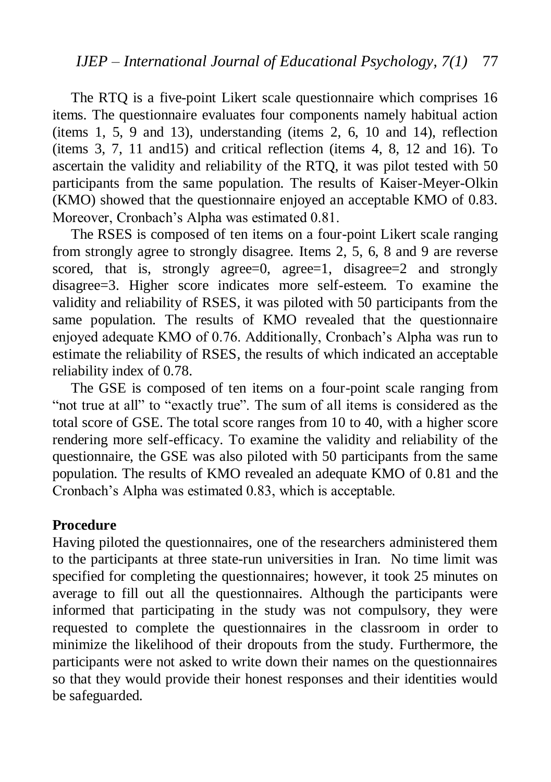The RTQ is a five-point Likert scale questionnaire which comprises 16 items. The questionnaire evaluates four components namely habitual action (items 1, 5, 9 and 13), understanding (items 2, 6, 10 and 14), reflection (items 3, 7, 11 and15) and critical reflection (items 4, 8, 12 and 16). To ascertain the validity and reliability of the RTQ, it was pilot tested with 50 participants from the same population. The results of Kaiser-Meyer-Olkin (KMO) showed that the questionnaire enjoyed an acceptable KMO of 0.83. Moreover, Cronbach's Alpha was estimated 0.81.

The RSES is composed of ten items on a four-point Likert scale ranging from strongly agree to strongly disagree. Items 2, 5, 6, 8 and 9 are reverse scored, that is, strongly agree=0, agree=1, disagree=2 and strongly disagree=3. Higher score indicates more self-esteem. To examine the validity and reliability of RSES, it was piloted with 50 participants from the same population. The results of KMO revealed that the questionnaire enjoyed adequate KMO of 0.76. Additionally, Cronbach's Alpha was run to estimate the reliability of RSES, the results of which indicated an acceptable reliability index of 0.78.

The GSE is composed of ten items on a four-point scale ranging from "not true at all" to "exactly true". The sum of all items is considered as the total score of GSE. The total score ranges from 10 to 40, with a higher score rendering more self-efficacy. To examine the validity and reliability of the questionnaire, the GSE was also piloted with 50 participants from the same population. The results of KMO revealed an adequate KMO of 0.81 and the Cronbach's Alpha was estimated 0.83, which is acceptable.

#### **Procedure**

Having piloted the questionnaires, one of the researchers administered them to the participants at three state-run universities in Iran. No time limit was specified for completing the questionnaires; however, it took 25 minutes on average to fill out all the questionnaires. Although the participants were informed that participating in the study was not compulsory, they were requested to complete the questionnaires in the classroom in order to minimize the likelihood of their dropouts from the study. Furthermore, the participants were not asked to write down their names on the questionnaires so that they would provide their honest responses and their identities would be safeguarded.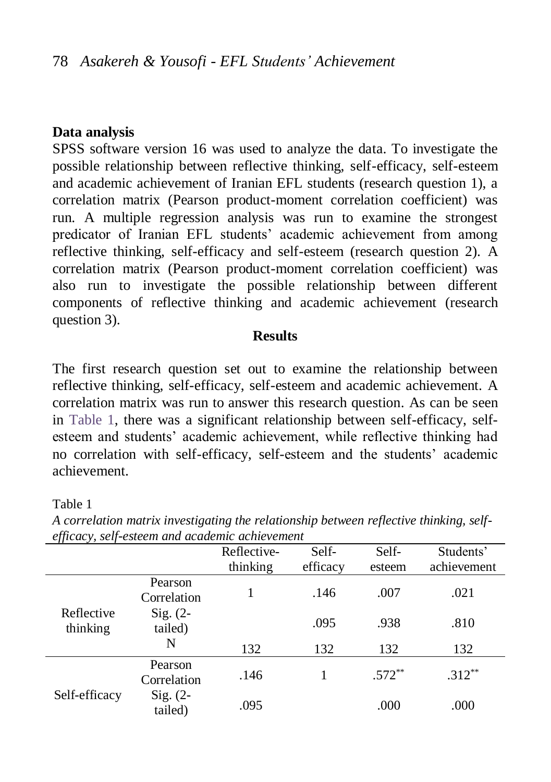#### **Data analysis**

SPSS software version 16 was used to analyze the data. To investigate the possible relationship between reflective thinking, self-efficacy, self-esteem and academic achievement of Iranian EFL students (research question 1), a correlation matrix (Pearson product-moment correlation coefficient) was run. A multiple regression analysis was run to examine the strongest predicator of Iranian EFL students' academic achievement from among reflective thinking, self-efficacy and self-esteem (research question 2). A correlation matrix (Pearson product-moment correlation coefficient) was also run to investigate the possible relationship between different components of reflective thinking and academic achievement (research question 3).

#### **Results**

The first research question set out to examine the relationship between reflective thinking, self-efficacy, self-esteem and academic achievement. A correlation matrix was run to answer this research question. As can be seen in [Table 1,](#page-11-0) there was a significant relationship between self-efficacy, selfesteem and students' academic achievement, while reflective thinking had no correlation with self-efficacy, self-esteem and the students' academic achievement.

#### <span id="page-11-0"></span>Table 1

| <i>efficiely</i> , <i>sey esteem and academic achievement</i> |                        |             |          |           |             |  |  |
|---------------------------------------------------------------|------------------------|-------------|----------|-----------|-------------|--|--|
|                                                               |                        | Reflective- | Self-    | Self-     | Students'   |  |  |
|                                                               |                        | thinking    | efficacy | esteem    | achievement |  |  |
|                                                               | Pearson<br>Correlation |             | .146     | .007      | .021        |  |  |
| Reflective<br>thinking                                        | $Sig. (2-$<br>tailed)  |             | .095     | .938      | .810        |  |  |
|                                                               | N                      | 132         | 132      | 132       | 132         |  |  |
| Self-efficacy                                                 | Pearson<br>Correlation | .146        |          | $.572***$ | $.312***$   |  |  |
|                                                               | $Sig. (2-$<br>tailed)  | .095        |          | .000      | .000        |  |  |

*A correlation matrix investigating the relationship between reflective thinking, selfefficacy, self-esteem and academic achievement*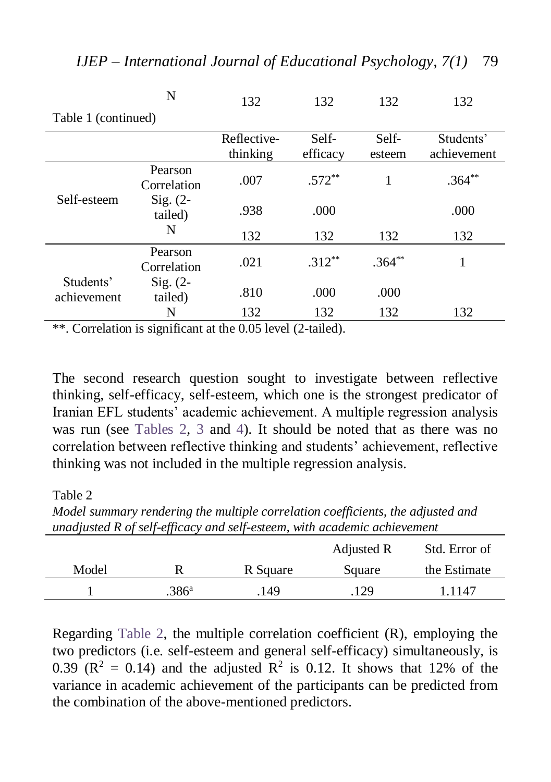|                          | N                          | 132                     | 132               | 132             | 132                      |
|--------------------------|----------------------------|-------------------------|-------------------|-----------------|--------------------------|
| Table 1 (continued)      |                            |                         |                   |                 |                          |
|                          |                            | Reflective-<br>thinking | Self-<br>efficacy | Self-<br>esteem | Students'<br>achievement |
| Self-esteem              | Pearson<br>Correlation     | .007                    | $.572**$          | 1               | $.364**$                 |
|                          | $Sig. (2-$<br>tailed)<br>N | .938                    | .000              |                 | .000                     |
|                          |                            | 132                     | 132               | 132             | 132                      |
|                          | Pearson<br>Correlation     | .021                    | $.312**$          | $.364***$       | 1                        |
| Students'<br>achievement | $Sig. (2-$<br>tailed)      | .810                    | .000              | .000            |                          |
|                          | N                          | 132                     | 132               | 132             | 132                      |

\*\*. Correlation is significant at the 0.05 level (2-tailed).

The second research question sought to investigate between reflective thinking, self-efficacy, self-esteem, which one is the strongest predicator of Iranian EFL students' academic achievement. A multiple regression analysis was run (see [Tables 2,](#page-12-0) [3](#page-13-0) and [4\)](#page-13-1). It should be noted that as there was no correlation between reflective thinking and students' achievement, reflective thinking was not included in the multiple regression analysis.

<span id="page-12-0"></span>Table 2

*Model summary rendering the multiple correlation coefficients, the adjusted and unadjusted R of self-efficacy and self-esteem, with academic achievement* 

|       |                   |          | Adjusted R | Std. Error of |
|-------|-------------------|----------|------------|---------------|
| Model |                   | R Square | Square     | the Estimate  |
|       | .386 <sup>a</sup> | 149      | .129       | 1.1147        |

Regarding [Table 2,](#page-12-0) the multiple correlation coefficient (R), employing the two predictors (i.e. self-esteem and general self-efficacy) simultaneously, is 0.39 ( $\mathbb{R}^2 = 0.14$ ) and the adjusted  $\mathbb{R}^2$  is 0.12. It shows that 12% of the variance in academic achievement of the participants can be predicted from the combination of the above-mentioned predictors.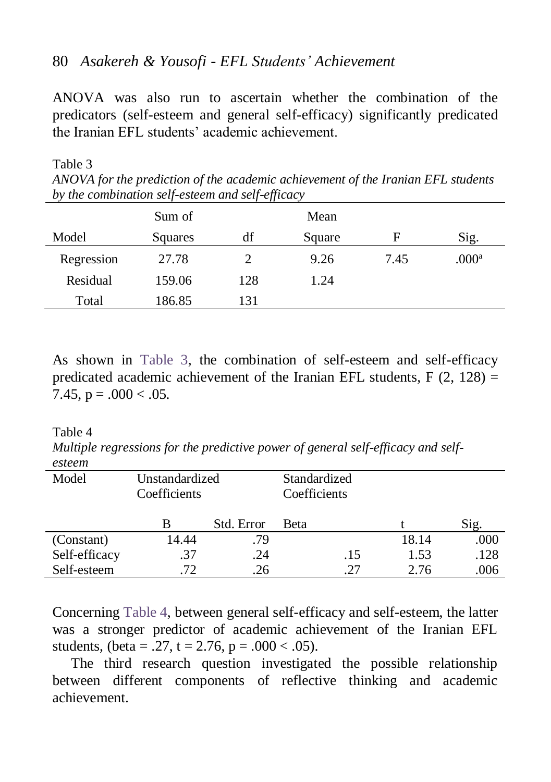## 80 *Asakereh & Yousofi - EFL Students' Achievement*

ANOVA was also run to ascertain whether the combination of the predicators (self-esteem and general self-efficacy) significantly predicated the Iranian EFL students' academic achievement.

<span id="page-13-0"></span>Table 3

*ANOVA for the prediction of the academic achievement of the Iranian EFL students by the combination self-esteem and self-efficacy*

|            | Sum of  |     | Mean   |      |                   |
|------------|---------|-----|--------|------|-------------------|
| Model      | Squares | df  | Square | F    | Sig.              |
| Regression | 27.78   |     | 9.26   | 7.45 | .000 <sup>a</sup> |
| Residual   | 159.06  | 128 | 1.24   |      |                   |
| Total      | 186.85  | 131 |        |      |                   |

As shown in [Table 3,](#page-13-0) the combination of self-esteem and self-efficacy predicated academic achievement of the Iranian EFL students,  $F(2, 128) =$ 7.45,  $p = .000 < .05$ .

#### <span id="page-13-1"></span>Table 4

*Multiple regressions for the predictive power of general self-efficacy and selfesteem*

| Model         | Unstandardized<br>Coefficients |            | Standardized<br>Coefficients |       |      |
|---------------|--------------------------------|------------|------------------------------|-------|------|
|               | В                              | Std. Error | <b>Beta</b>                  |       | Sig. |
| (Constant)    | 14.44                          | .79        |                              | 18.14 | .000 |
| Self-efficacy | .37                            | .24        | .15                          | 1.53  | .128 |
| Self-esteem   | 72                             | .26        | 27                           | 2.76  | .006 |

Concerning [Table 4,](#page-13-1) between general self-efficacy and self-esteem, the latter was a stronger predictor of academic achievement of the Iranian EFL students, (beta = .27, t = 2.76, p = .000 < .05).

The third research question investigated the possible relationship between different components of reflective thinking and academic achievement.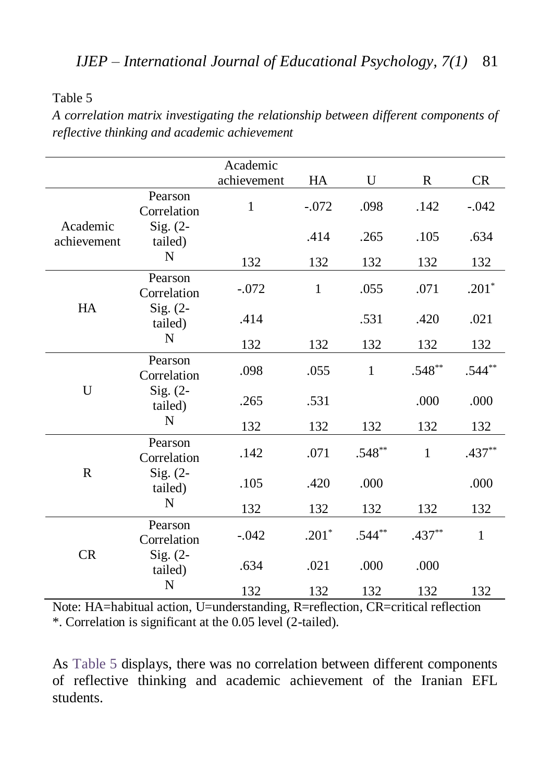<span id="page-14-0"></span>Table 5

*A correlation matrix investigating the relationship between different components of reflective thinking and academic achievement* 

|                         |                        | Academic    |              |              |              |           |
|-------------------------|------------------------|-------------|--------------|--------------|--------------|-----------|
|                         |                        | achievement | HA           | U            | R            | <b>CR</b> |
|                         | Pearson<br>Correlation | 1           | $-.072$      | .098         | .142         | $-.042$   |
| Academic<br>achievement | $Sig. (2-$<br>tailed)  |             | .414         | .265         | .105         | .634      |
|                         | N                      | 132         | 132          | 132          | 132          | 132       |
|                         | Pearson<br>Correlation | $-.072$     | $\mathbf{1}$ | .055         | .071         | $.201*$   |
| HA                      | $Sig. (2-$<br>tailed)  | .414        |              | .531         | .420         | .021      |
|                         | N                      | 132         | 132          | 132          | 132          | 132       |
| U                       | Pearson<br>Correlation | .098        | .055         | $\mathbf{1}$ | $.548**$     | $.544**$  |
|                         | Sig. $(2-$<br>tailed)  | .265        | .531         |              | .000         | .000      |
|                         | N                      | 132         | 132          | 132          | 132          | 132       |
| $\mathbf R$             | Pearson<br>Correlation | .142        | .071         | $.548**$     | $\mathbf{1}$ | $.437**$  |
|                         | $Sig. (2-$<br>tailed)  | .105        | .420         | .000         |              | .000      |
|                         | N                      | 132         | 132          | 132          | 132          | 132       |
| <b>CR</b>               | Pearson<br>Correlation | $-.042$     | $.201*$      | $.544**$     | $.437**$     | 1         |
|                         | $Sig. (2-$<br>tailed)  | .634        | .021         | .000         | .000         |           |
|                         | N                      | 132         | 132          | 132          | 132          | 132       |

Note: HA=habitual action, U=understanding, R=reflection, CR=critical reflection \*. Correlation is significant at the 0.05 level (2-tailed).

As [Table 5](#page-14-0) displays, there was no correlation between different components of reflective thinking and academic achievement of the Iranian EFL students.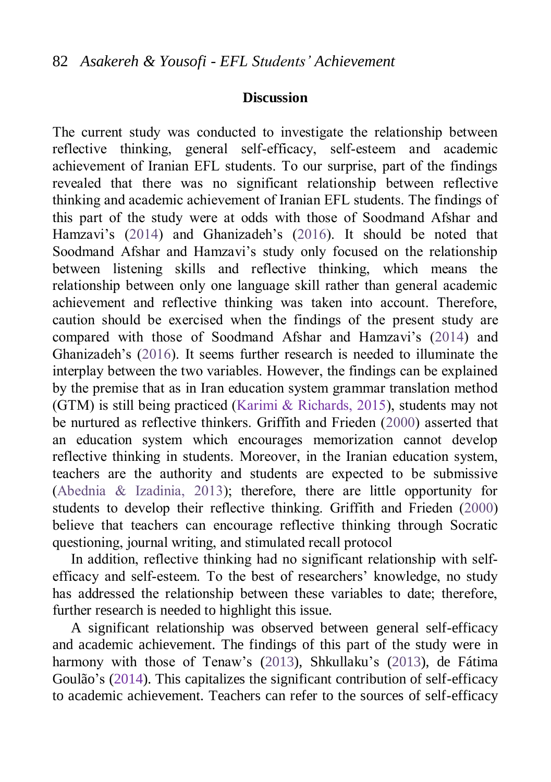#### **Discussion**

The current study was conducted to investigate the relationship between reflective thinking, general self-efficacy, self-esteem and academic achievement of Iranian EFL students. To our surprise, part of the findings revealed that there was no significant relationship between reflective thinking and academic achievement of Iranian EFL students. The findings of this part of the study were at odds with those of Soodmand Afshar and Hamzavi's [\(2014\)](#page-21-3) and Ghanizadeh's [\(2016\)](#page-19-2). It should be noted that Soodmand Afshar and Hamzavi's study only focused on the relationship between listening skills and reflective thinking, which means the relationship between only one language skill rather than general academic achievement and reflective thinking was taken into account. Therefore, caution should be exercised when the findings of the present study are compared with those of Soodmand Afshar and Hamzavi's ([2014\)](#page-21-7) and Ghanizadeh's ([2016\)](#page-19-2). It seems further research is needed to illuminate the interplay between the two variables. However, the findings can be explained by the premise that as in Iran education system grammar translation method (GTM) is still being practiced (Karimi & Richards, 2015), students may not be nurtured as reflective thinkers. Griffith and Frieden [\(2000\)](#page-19-9) asserted that an education system which encourages memorization cannot develop reflective thinking in students. Moreover, in the Iranian education system, teachers are the authority and students are expected to be submissive [\(Abednia & Izadinia, 2013\)](#page-17-3); therefore, there are little opportunity for students to develop their reflective thinking. Griffith and Frieden [\(2000\)](#page-19-9) believe that teachers can encourage reflective thinking through Socratic questioning, journal writing, and stimulated recall protocol

In addition, reflective thinking had no significant relationship with selfefficacy and self-esteem. To the best of researchers' knowledge, no study has addressed the relationship between these variables to date; therefore, further research is needed to highlight this issue.

A significant relationship was observed between general self-efficacy and academic achievement. The findings of this part of the study were in harmony with those of Tenaw's [\(2013\)](#page-21-4), Shkullaku's [\(2013\)](#page-21-5), de Fátima Goulão's (2014). This capitalizes the significant contribution of self-efficacy to academic achievement. Teachers can refer to the sources of self-efficacy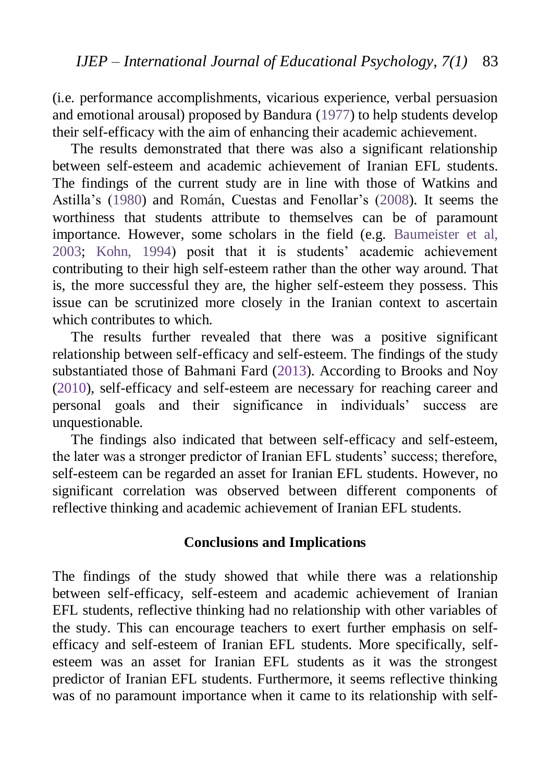(i.e. performance accomplishments, vicarious experience, verbal persuasion and emotional arousal) proposed by Bandura [\(1977\)](#page-18-3) to help students develop their self-efficacy with the aim of enhancing their academic achievement.

The results demonstrated that there was also a significant relationship between self-esteem and academic achievement of Iranian EFL students. The findings of the current study are in line with those of Watkins and Astilla's [\(1980\)](#page-22-2) and Román, Cuestas and Fenollar's [\(2008\)](#page-20-7). It seems the worthiness that students attribute to themselves can be of paramount importance. However, some scholars in the field (e.g. [Baumeister et al,](#page-18-6)  [2003;](#page-18-6) [Kohn, 1994\)](#page-20-8) posit that it is students' academic achievement contributing to their high self-esteem rather than the other way around. That is, the more successful they are, the higher self-esteem they possess. This issue can be scrutinized more closely in the Iranian context to ascertain which contributes to which.

The results further revealed that there was a positive significant relationship between self-efficacy and self-esteem. The findings of the study substantiated those of Bahmani Fard (2013). According to Brooks and Noy (2010), self-efficacy and self-esteem are necessary for reaching career and personal goals and their significance in individuals' success are unquestionable.

The findings also indicated that between self-efficacy and self-esteem, the later was a stronger predictor of Iranian EFL students' success; therefore, self-esteem can be regarded an asset for Iranian EFL students. However, no significant correlation was observed between different components of reflective thinking and academic achievement of Iranian EFL students.

## **Conclusions and Implications**

The findings of the study showed that while there was a relationship between self-efficacy, self-esteem and academic achievement of Iranian EFL students, reflective thinking had no relationship with other variables of the study. This can encourage teachers to exert further emphasis on selfefficacy and self-esteem of Iranian EFL students. More specifically, selfesteem was an asset for Iranian EFL students as it was the strongest predictor of Iranian EFL students. Furthermore, it seems reflective thinking was of no paramount importance when it came to its relationship with self-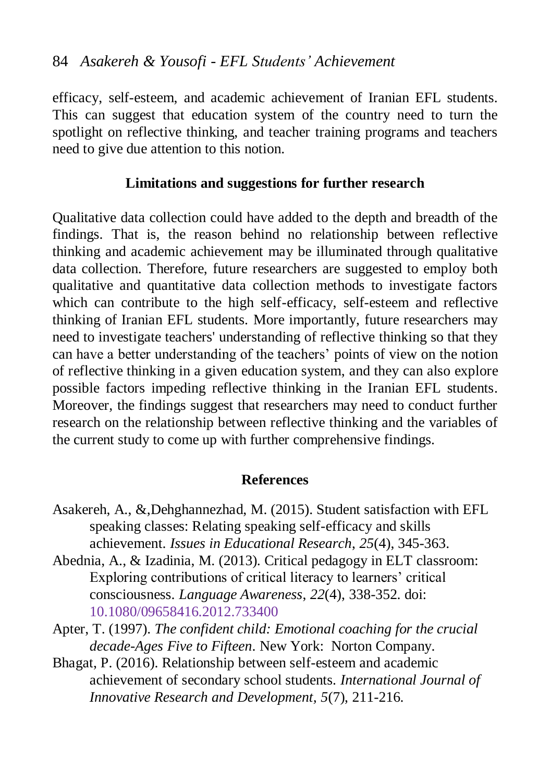## 84 *Asakereh & Yousofi - EFL Students' Achievement*

efficacy, self-esteem, and academic achievement of Iranian EFL students. This can suggest that education system of the country need to turn the spotlight on reflective thinking, and teacher training programs and teachers need to give due attention to this notion.

## **Limitations and suggestions for further research**

Qualitative data collection could have added to the depth and breadth of the findings. That is, the reason behind no relationship between reflective thinking and academic achievement may be illuminated through qualitative data collection. Therefore, future researchers are suggested to employ both qualitative and quantitative data collection methods to investigate factors which can contribute to the high self-efficacy, self-esteem and reflective thinking of Iranian EFL students. More importantly, future researchers may need to investigate teachers' understanding of reflective thinking so that they can have a better understanding of the teachers' points of view on the notion of reflective thinking in a given education system, and they can also explore possible factors impeding reflective thinking in the Iranian EFL students. Moreover, the findings suggest that researchers may need to conduct further research on the relationship between reflective thinking and the variables of the current study to come up with further comprehensive findings.

#### **References**

- <span id="page-17-0"></span>Asakereh, A., &,Dehghannezhad, M. (2015). Student satisfaction with EFL speaking classes: Relating speaking self-efficacy and skills achievement. *Issues in Educational Research*, *25*(4), 345-363.
- <span id="page-17-3"></span>Abednia, A., & Izadinia, M. (2013). Critical pedagogy in ELT classroom: Exploring contributions of critical literacy to learners' critical consciousness. *Language Awareness*, *22*(4), 338-352. doi: [10.1080/09658416.2012.733400](http://dx.doi.org/10.1080/09658416.2012.733400)
- <span id="page-17-1"></span>Apter, T. (1997). *The confident child: Emotional coaching for the crucial decade-Ages Five to Fifteen*. New York: Norton Company.
- <span id="page-17-2"></span>Bhagat, P. (2016). Relationship between self-esteem and academic achievement of secondary school students. *International Journal of Innovative Research and Development, 5*(7), 211-216.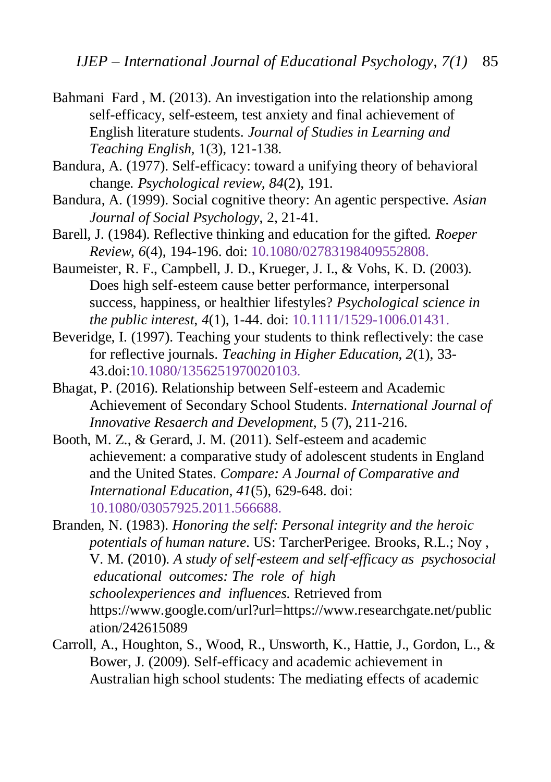- <span id="page-18-5"></span>Bahmani Fard , M. (2013). An investigation into the relationship among self-efficacy, self-esteem, test anxiety and final achievement of English literature students. *Journal of Studies in Learning and Teaching English,* 1(3), 121-138.
- <span id="page-18-3"></span>Bandura, A. (1977). Self-efficacy: toward a unifying theory of behavioral change. *Psychological review*, *84*(2), 191.
- <span id="page-18-4"></span>Bandura, A. (1999). Social cognitive theory: An agentic perspective. *Asian Journal of Social Psychology*, 2, 21-41.
- <span id="page-18-1"></span>Barell, J. (1984). Reflective thinking and education for the gifted. *Roeper Review*, *6*(4), 194-196. doi: [10.1080/02783198409552808.](https://doi.org/10.1080/02783198409552808)
- <span id="page-18-6"></span>Baumeister, R. F., Campbell, J. D., Krueger, J. I., & Vohs, K. D. (2003). Does high self-esteem cause better performance, interpersonal success, happiness, or healthier lifestyles? *Psychological science in the public interest*, *4*(1), 1-44. doi: [10.1111/1529-1006.01431.](https://doi.org/10.1111/1529-1006.01431)
- <span id="page-18-2"></span>Beveridge, I. (1997). Teaching your students to think reflectively: the case for reflective journals. *Teaching in Higher Education*, *2*(1), 33- 43.doi[:10.1080/1356251970020103.](https://doi.org/10.1080/1356251970020103)
- Bhagat, P. (2016). Relationship between Self-esteem and Academic Achievement of Secondary School Students. *International Journal of Innovative Resaerch and Development,* 5 (7), 211-216.
- <span id="page-18-8"></span>Booth, M. Z., & Gerard, J. M. (2011). Self-esteem and academic achievement: a comparative study of adolescent students in England and the United States. *Compare: A Journal of Comparative and International Education*, *41*(5), 629-648. doi: [10.1080/03057925.2011.566688.](https://doi.org/10.1080/03057925.2011.566688)

<span id="page-18-7"></span>Branden, N. (1983). *Honoring the self: Personal integrity and the heroic potentials of human nature*. US: TarcherPerigee. Brooks, R.L.; Noy , V. M. (2010). *A study of self*‐*esteem and self*‐*efficacy as psychosocial educational outcomes: The role of high schoolexperiences and influences.* Retrieved from [https://www.google.com/url?url=https://www.researchgate.net/public](https://www.google.com/url?url=https://www.researchgate.net/publication/242615089) [ation/242615089](https://www.google.com/url?url=https://www.researchgate.net/publication/242615089)

<span id="page-18-0"></span>Carroll, A., Houghton, S., Wood, R., Unsworth, K., Hattie, J., Gordon, L., & Bower, J. (2009). Self-efficacy and academic achievement in Australian high school students: The mediating effects of academic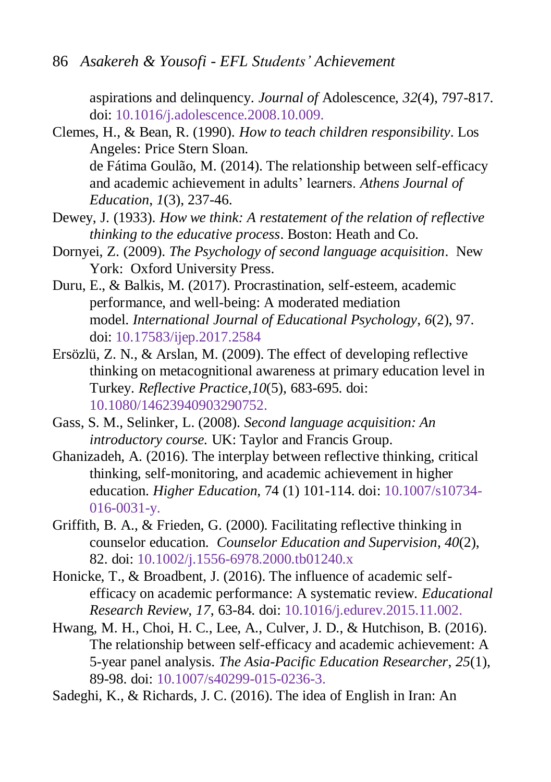aspirations and delinquency. *Journal of* Adolescence, *32*(4), 797-817. doi: [10.1016/j.adolescence.2008.10.009.](https://doi.org/10.1016/j.adolescence.2008.10.009)

- <span id="page-19-7"></span>Clemes, H., & Bean, R. (1990). *How to teach children responsibility*. Los Angeles: Price Stern Sloan. de Fátima Goulão, M. (2014). The relationship between self-efficacy and academic achievement in adults' learners. *Athens Journal of Education*, *1*(3), 237-46.
- <span id="page-19-3"></span>Dewey, J. (1933). *How we think: A restatement of the relation of reflective thinking to the educative process*. Boston: Heath and Co.
- <span id="page-19-1"></span>Dornyei, Z. (2009). *The Psychology of second language acquisition*. New York: Oxford University Press.
- <span id="page-19-8"></span>Duru, E., & Balkis, M. (2017). Procrastination, self-esteem, academic performance, and well-being: A moderated mediation model. *International Journal of Educational Psychology*, *6*(2), 97. doi: 10.17583/ijep.2017.2584
- <span id="page-19-4"></span>Ersözlü, Z. N., & Arslan, M. (2009). The effect of developing reflective thinking on metacognitional awareness at primary education level in Turkey. *Reflective Practice*,*10*(5), 683-695. doi: [10.1080/14623940903290752.](https://doi.org/10.1080/14623940903290752)
- <span id="page-19-0"></span>Gass, S. M., Selinker, L. (2008). *Second language acquisition: An introductory course.* UK: Taylor and Francis Group.
- <span id="page-19-2"></span>Ghanizadeh, A. (2016). The interplay between reflective thinking, critical thinking, self-monitoring, and academic achievement in higher education. *Higher Education*, 74 (1) 101-114. doi: 10.1007/s10734- 016-0031-y.
- <span id="page-19-9"></span>Griffith, B. A., & Frieden, G. (2000). Facilitating reflective thinking in counselor education. *Counselor Education and Supervision*, *40*(2), 82. doi: 10.1002/j.1556-6978.2000.tb01240.x
- <span id="page-19-5"></span>Honicke, T., & Broadbent, J. (2016). The influence of academic selfefficacy on academic performance: A systematic review. *Educational Research Review*, *17*, 63-84. doi: [10.1016/j.edurev.2015.11.002.](https://doi.org/10.1016/j.edurev.2015.11.002)
- <span id="page-19-6"></span>Hwang, M. H., Choi, H. C., Lee, A., Culver, J. D., & Hutchison, B. (2016). The relationship between self-efficacy and academic achievement: A 5-year panel analysis. *The Asia-Pacific Education Researcher*, *25*(1), 89-98. doi: 10.1007/s40299-015-0236-3.
- Sadeghi, K., & Richards, J. C. (2016). The idea of English in Iran: An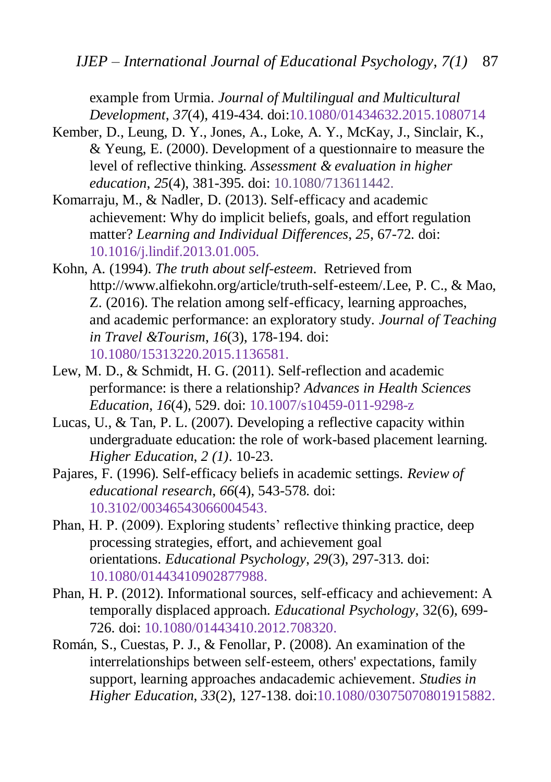example from Urmia. *Journal of Multilingual and Multicultural Development*, *37*(4), 419-434. doi[:10.1080/01434632.2015.1080714](https://doi.org/10.1080/01434632.2015.1080714)

- <span id="page-20-0"></span>Kember, D., Leung, D. Y., Jones, A., Loke, A. Y., McKay, J., Sinclair, K., & Yeung, E. (2000). Development of a questionnaire to measure the level of reflective thinking. *Assessment & evaluation in higher education*, *25*(4), 381-395. doi: [10.1080/713611442.](http://www.tandfonline.com/doi/abs/10.1080/713611442)
- <span id="page-20-5"></span>Komarraju, M., & Nadler, D. (2013). Self-efficacy and academic achievement: Why do implicit beliefs, goals, and effort regulation matter? *Learning and Individual Differences*, *25*, 67-72. doi: [10.1016/j.lindif.2013.01.005.](https://doi.org/10.1016/j.lindif.2013.01.005)
- <span id="page-20-8"></span>Kohn, A. (1994). *The truth about self-esteem*. Retrieved from http://www.alfiekohn.org/article/truth-self-esteem/.Lee, P. C., & Mao, Z. (2016). The relation among self-efficacy, learning approaches, and academic performance: an exploratory study. *Journal of Teaching in Travel &Tourism*, *16*(3), 178-194. doi: [10.1080/15313220.2015.1136581.](https://doi.org/10.1080/15313220.2015.1136581)
- <span id="page-20-2"></span>Lew, M. D., & Schmidt, H. G. (2011). Self-reflection and academic performance: is there a relationship? *Advances in Health Sciences Education*, *16*(4), 529. doi: 10.1007/s10459-011-9298-z
- <span id="page-20-1"></span>Lucas, U., & Tan, P. L. (2007). Developing a reflective capacity within undergraduate education: the role of work-based placement learning. *Higher Education*, *2 (1)*. 10-23.
- <span id="page-20-6"></span>Pajares, F. (1996). Self-efficacy beliefs in academic settings. *Review of educational research*, *66*(4), 543-578. doi: [10.3102/00346543066004543.](https://doi.org/10.3102/00346543066004543)
- <span id="page-20-3"></span>Phan, H. P. (2009). Exploring students' reflective thinking practice, deep processing strategies, effort, and achievement goal orientations. *Educational Psychology*, *29*(3), 297-313. doi: [10.1080/01443410902877988.](https://doi.org/10.1080/01443410902877988)
- <span id="page-20-4"></span>Phan, H. P. (2012). Informational sources, self-efficacy and achievement: A temporally displaced approach. *Educational Psychology*, 32(6), 699- 726. doi: [10.1080/01443410.2012.708320.](https://doi.org/10.1080/01443410.2012.708320)
- <span id="page-20-7"></span>Román, S., Cuestas, P. J., & Fenollar, P. (2008). An examination of the interrelationships between self‐esteem, others' expectations, family support, learning approaches andacademic achievement. *Studies in Higher Education*, *33*(2), 127-138. doi[:10.1080/03075070801915882.](https://doi.org/10.1080/03075070801915882)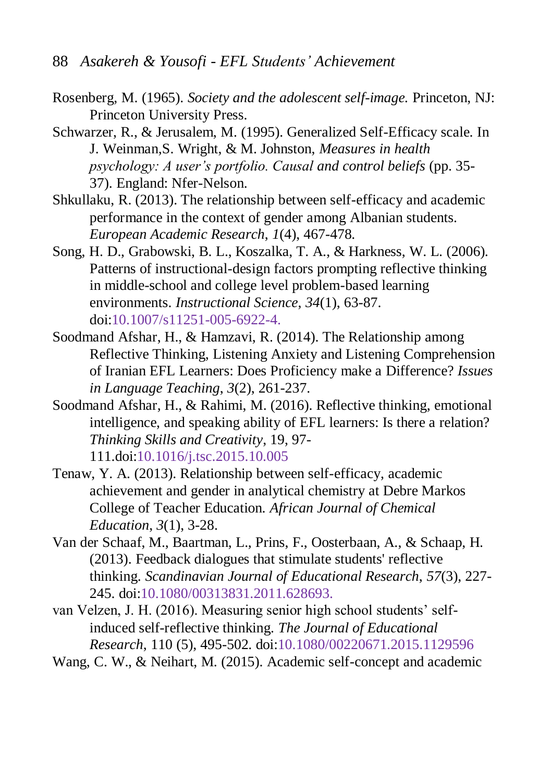- <span id="page-21-9"></span>Rosenberg, M. (1965). *Society and the adolescent self-image.* Princeton, NJ: Princeton University Press.
- <span id="page-21-8"></span>Schwarzer, R., & Jerusalem, M. (1995). Generalized Self-Efficacy scale. In J. Weinman,S. Wright, & M. Johnston, *Measures in health psychology: A user's portfolio. Causal and control beliefs* (pp. 35- 37). England: Nfer-Nelson.
- <span id="page-21-5"></span>Shkullaku, R. (2013). The relationship between self-efficacy and academic performance in the context of gender among Albanian students. *European Academic Research*, *1*(4), 467-478.
- <span id="page-21-2"></span>Song, H. D., Grabowski, B. L., Koszalka, T. A., & Harkness, W. L. (2006). Patterns of instructional-design factors prompting reflective thinking in middle-school and college level problem-based learning environments. *Instructional Science*, *34*(1), 63-87. doi:10.1007/s11251-005-6922-4.
- <span id="page-21-3"></span>Soodmand Afshar, H., & Hamzavi, R. (2014). The Relationship among Reflective Thinking, Listening Anxiety and Listening Comprehension of Iranian EFL Learners: Does Proficiency make a Difference? *Issues in Language Teaching*, *3*(2), 261-237.
- <span id="page-21-7"></span>Soodmand Afshar, H., & Rahimi, M. (2016). Reflective thinking, emotional intelligence, and speaking ability of EFL learners: Is there a relation? *Thinking Skills and Creativity*, 19, 97- 111.doi[:10.1016/j.tsc.2015.10.005](https://doi.org/10.1016/j.tsc.2015.10.005)
- <span id="page-21-4"></span>Tenaw, Y. A. (2013). Relationship between self-efficacy, academic achievement and gender in analytical chemistry at Debre Markos College of Teacher Education. *African Journal of Chemical Education*, *3*(1), 3-28.
- <span id="page-21-1"></span>Van der Schaaf, M., Baartman, L., Prins, F., Oosterbaan, A., & Schaap, H. (2013). Feedback dialogues that stimulate students' reflective thinking. *Scandinavian Journal of Educational Research*, *57*(3), 227- 245. doi[:10.1080/00313831.2011.628693.](https://doi.org/10.1080/00313831.2011.628693)
- <span id="page-21-0"></span>van Velzen, J. H. (2016). Measuring senior high school students' selfinduced self-reflective thinking. *The Journal of Educational Research*, 110 (5), 495-502. doi[:10.1080/00220671.2015.1129596](https://doi.org/10.1080/00220671.2015.1129596)
- <span id="page-21-6"></span>Wang, C. W., & Neihart, M. (2015). Academic self-concept and academic